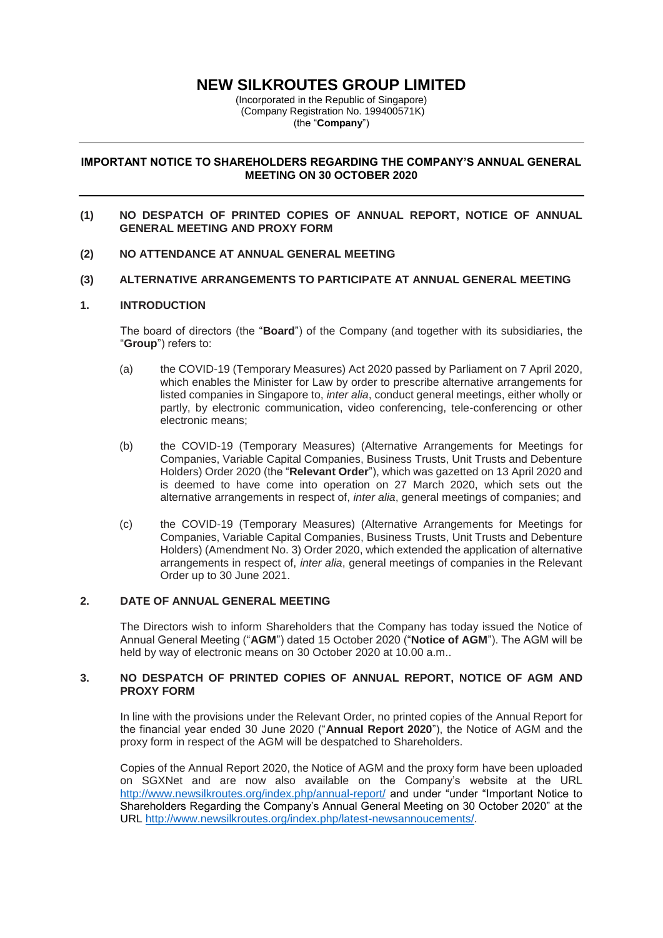# **NEW SILKROUTES GROUP LIMITED**

(Incorporated in the Republic of Singapore) (Company Registration No. 199400571K) (the "**Company**")

# **IMPORTANT NOTICE TO SHAREHOLDERS REGARDING THE COMPANY'S ANNUAL GENERAL MEETING ON 30 OCTOBER 2020**

### **(1) NO DESPATCH OF PRINTED COPIES OF ANNUAL REPORT, NOTICE OF ANNUAL GENERAL MEETING AND PROXY FORM**

**(2) NO ATTENDANCE AT ANNUAL GENERAL MEETING**

# **(3) ALTERNATIVE ARRANGEMENTS TO PARTICIPATE AT ANNUAL GENERAL MEETING**

### **1. INTRODUCTION**

The board of directors (the "**Board**") of the Company (and together with its subsidiaries, the "**Group**") refers to:

- (a) the COVID-19 (Temporary Measures) Act 2020 passed by Parliament on 7 April 2020, which enables the Minister for Law by order to prescribe alternative arrangements for listed companies in Singapore to, *inter alia*, conduct general meetings, either wholly or partly, by electronic communication, video conferencing, tele-conferencing or other electronic means;
- (b) the COVID-19 (Temporary Measures) (Alternative Arrangements for Meetings for Companies, Variable Capital Companies, Business Trusts, Unit Trusts and Debenture Holders) Order 2020 (the "**Relevant Order**"), which was gazetted on 13 April 2020 and is deemed to have come into operation on 27 March 2020, which sets out the alternative arrangements in respect of, *inter alia*, general meetings of companies; and
- (c) the COVID-19 (Temporary Measures) (Alternative Arrangements for Meetings for Companies, Variable Capital Companies, Business Trusts, Unit Trusts and Debenture Holders) (Amendment No. 3) Order 2020, which extended the application of alternative arrangements in respect of, *inter alia*, general meetings of companies in the Relevant Order up to 30 June 2021.

### **2. DATE OF ANNUAL GENERAL MEETING**

The Directors wish to inform Shareholders that the Company has today issued the Notice of Annual General Meeting ("**AGM**") dated 15 October 2020 ("**Notice of AGM**"). The AGM will be held by way of electronic means on 30 October 2020 at 10.00 a.m..

# **3. NO DESPATCH OF PRINTED COPIES OF ANNUAL REPORT, NOTICE OF AGM AND PROXY FORM**

In line with the provisions under the Relevant Order, no printed copies of the Annual Report for the financial year ended 30 June 2020 ("**Annual Report 2020**"), the Notice of AGM and the proxy form in respect of the AGM will be despatched to Shareholders.

Copies of the Annual Report 2020, the Notice of AGM and the proxy form have been uploaded on SGXNet and are now also available on the Company's website at the URL <http://www.newsilkroutes.org/index.php/annual-report/> and under "under "Important Notice to Shareholders Regarding the Company's Annual General Meeting on 30 October 2020" at the URL [http://www.newsilkroutes.org/index.php/latest-newsannoucements/.](http://www.newsilkroutes.org/index.php/latest-newsannoucements/)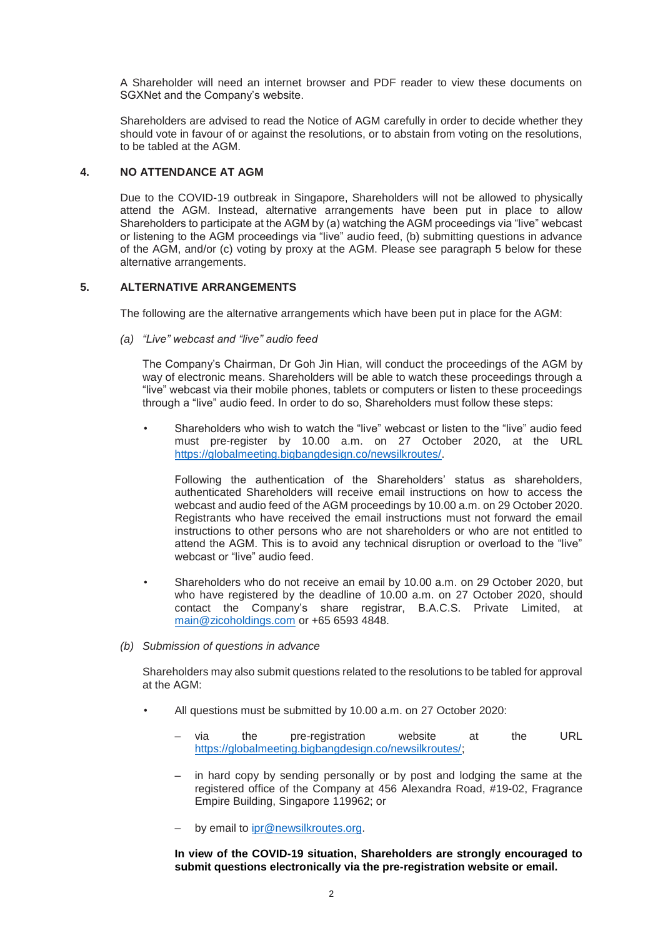A Shareholder will need an internet browser and PDF reader to view these documents on SGXNet and the Company's website.

Shareholders are advised to read the Notice of AGM carefully in order to decide whether they should vote in favour of or against the resolutions, or to abstain from voting on the resolutions, to be tabled at the AGM.

# **4. NO ATTENDANCE AT AGM**

Due to the COVID-19 outbreak in Singapore, Shareholders will not be allowed to physically attend the AGM. Instead, alternative arrangements have been put in place to allow Shareholders to participate at the AGM by (a) watching the AGM proceedings via "live" webcast or listening to the AGM proceedings via "live" audio feed, (b) submitting questions in advance of the AGM, and/or (c) voting by proxy at the AGM. Please see paragraph 5 below for these alternative arrangements.

# **5. ALTERNATIVE ARRANGEMENTS**

The following are the alternative arrangements which have been put in place for the AGM:

*(a) "Live" webcast and "live" audio feed* 

The Company's Chairman, Dr Goh Jin Hian, will conduct the proceedings of the AGM by way of electronic means. Shareholders will be able to watch these proceedings through a "live" webcast via their mobile phones, tablets or computers or listen to these proceedings through a "live" audio feed. In order to do so, Shareholders must follow these steps:

• Shareholders who wish to watch the "live" webcast or listen to the "live" audio feed must pre-register by 10.00 a.m. on 27 October 2020, at the URL [https://globalmeeting.bigbangdesign.co/newsilkroutes/.](https://globalmeeting.bigbangdesign.co/newsilkroutes/)

Following the authentication of the Shareholders' status as shareholders, authenticated Shareholders will receive email instructions on how to access the webcast and audio feed of the AGM proceedings by 10.00 a.m. on 29 October 2020. Registrants who have received the email instructions must not forward the email instructions to other persons who are not shareholders or who are not entitled to attend the AGM. This is to avoid any technical disruption or overload to the "live" webcast or "live" audio feed.

- Shareholders who do not receive an email by 10.00 a.m. on 29 October 2020, but who have registered by the deadline of 10.00 a.m. on 27 October 2020, should contact the Company's share registrar, B.A.C.S. Private Limited, at [main@zicoholdings.com](mailto:main@zicoholdings.com) or +65 6593 4848.
- *(b) Submission of questions in advance*

Shareholders may also submit questions related to the resolutions to be tabled for approval at the AGM:

- All questions must be submitted by 10.00 a.m. on 27 October 2020:
	- via the pre-registration website at the URL [https://globalmeeting.bigbangdesign.co/newsilkroutes/;](https://globalmeeting.bigbangdesign.co/newsilkroutes/)
	- in hard copy by sending personally or by post and lodging the same at the registered office of the Company at 456 Alexandra Road, #19-02, Fragrance Empire Building, Singapore 119962; or
	- by email to [ipr@newsilkroutes.org.](mailto:ipr@newsilkroutes.org)

**In view of the COVID-19 situation, Shareholders are strongly encouraged to submit questions electronically via the pre-registration website or email.**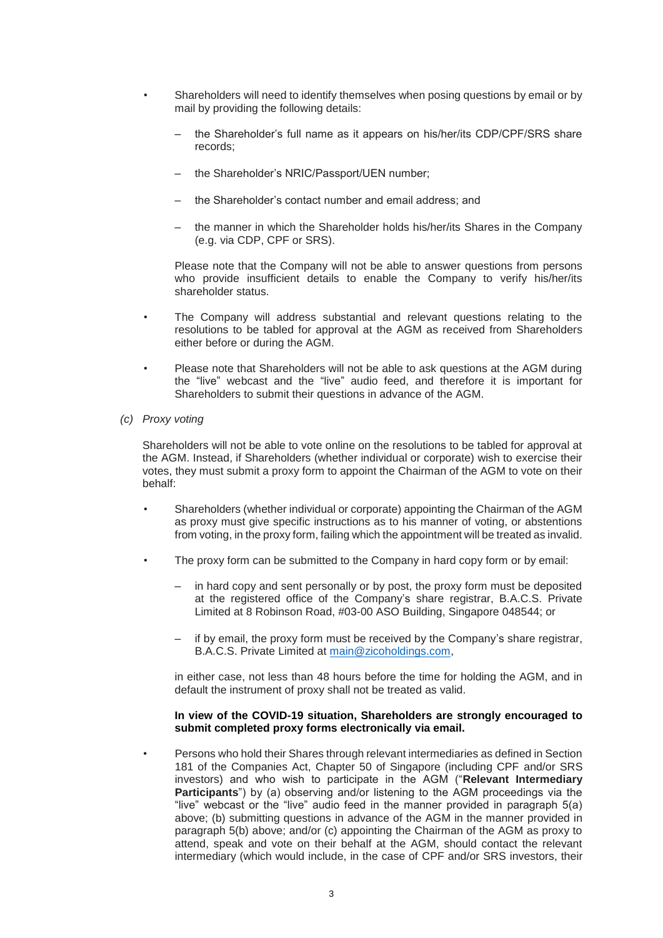- Shareholders will need to identify themselves when posing questions by email or by mail by providing the following details:
	- the Shareholder's full name as it appears on his/her/its CDP/CPF/SRS share records;
	- the Shareholder's NRIC/Passport/UEN number;
	- the Shareholder's contact number and email address; and
	- the manner in which the Shareholder holds his/her/its Shares in the Company (e.g. via CDP, CPF or SRS).

Please note that the Company will not be able to answer questions from persons who provide insufficient details to enable the Company to verify his/her/its shareholder status.

- The Company will address substantial and relevant questions relating to the resolutions to be tabled for approval at the AGM as received from Shareholders either before or during the AGM.
- Please note that Shareholders will not be able to ask questions at the AGM during the "live" webcast and the "live" audio feed, and therefore it is important for Shareholders to submit their questions in advance of the AGM.
- *(c) Proxy voting*

Shareholders will not be able to vote online on the resolutions to be tabled for approval at the AGM. Instead, if Shareholders (whether individual or corporate) wish to exercise their votes, they must submit a proxy form to appoint the Chairman of the AGM to vote on their behalf:

- Shareholders (whether individual or corporate) appointing the Chairman of the AGM as proxy must give specific instructions as to his manner of voting, or abstentions from voting, in the proxy form, failing which the appointment will be treated as invalid.
- The proxy form can be submitted to the Company in hard copy form or by email:
	- in hard copy and sent personally or by post, the proxy form must be deposited at the registered office of the Company's share registrar, B.A.C.S. Private Limited at 8 Robinson Road, #03-00 ASO Building, Singapore 048544; or
	- if by email, the proxy form must be received by the Company's share registrar, B.A.C.S. Private Limited at [main@zicoholdings.com,](mailto:main@zicoholdings.com)

in either case, not less than 48 hours before the time for holding the AGM, and in default the instrument of proxy shall not be treated as valid.

# **In view of the COVID-19 situation, Shareholders are strongly encouraged to submit completed proxy forms electronically via email.**

• Persons who hold their Shares through relevant intermediaries as defined in Section 181 of the Companies Act, Chapter 50 of Singapore (including CPF and/or SRS investors) and who wish to participate in the AGM ("**Relevant Intermediary Participants**") by (a) observing and/or listening to the AGM proceedings via the "live" webcast or the "live" audio feed in the manner provided in paragraph 5(a) above; (b) submitting questions in advance of the AGM in the manner provided in paragraph 5(b) above; and/or (c) appointing the Chairman of the AGM as proxy to attend, speak and vote on their behalf at the AGM, should contact the relevant intermediary (which would include, in the case of CPF and/or SRS investors, their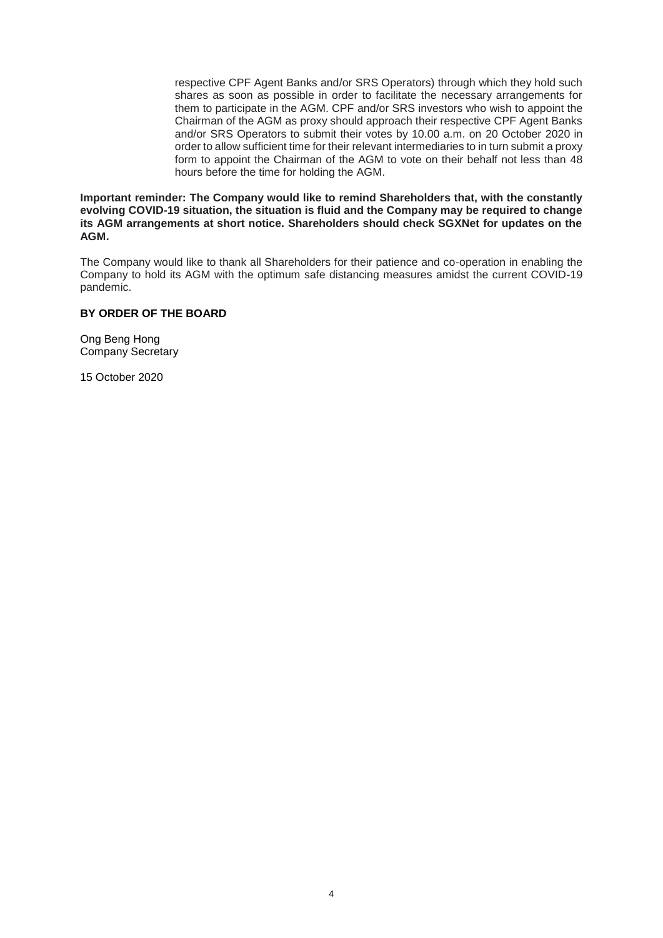respective CPF Agent Banks and/or SRS Operators) through which they hold such shares as soon as possible in order to facilitate the necessary arrangements for them to participate in the AGM. CPF and/or SRS investors who wish to appoint the Chairman of the AGM as proxy should approach their respective CPF Agent Banks and/or SRS Operators to submit their votes by 10.00 a.m. on 20 October 2020 in order to allow sufficient time for their relevant intermediaries to in turn submit a proxy form to appoint the Chairman of the AGM to vote on their behalf not less than 48 hours before the time for holding the AGM.

**Important reminder: The Company would like to remind Shareholders that, with the constantly evolving COVID-19 situation, the situation is fluid and the Company may be required to change its AGM arrangements at short notice. Shareholders should check SGXNet for updates on the AGM.** 

The Company would like to thank all Shareholders for their patience and co-operation in enabling the Company to hold its AGM with the optimum safe distancing measures amidst the current COVID-19 pandemic.

# **BY ORDER OF THE BOARD**

Ong Beng Hong Company Secretary

15 October 2020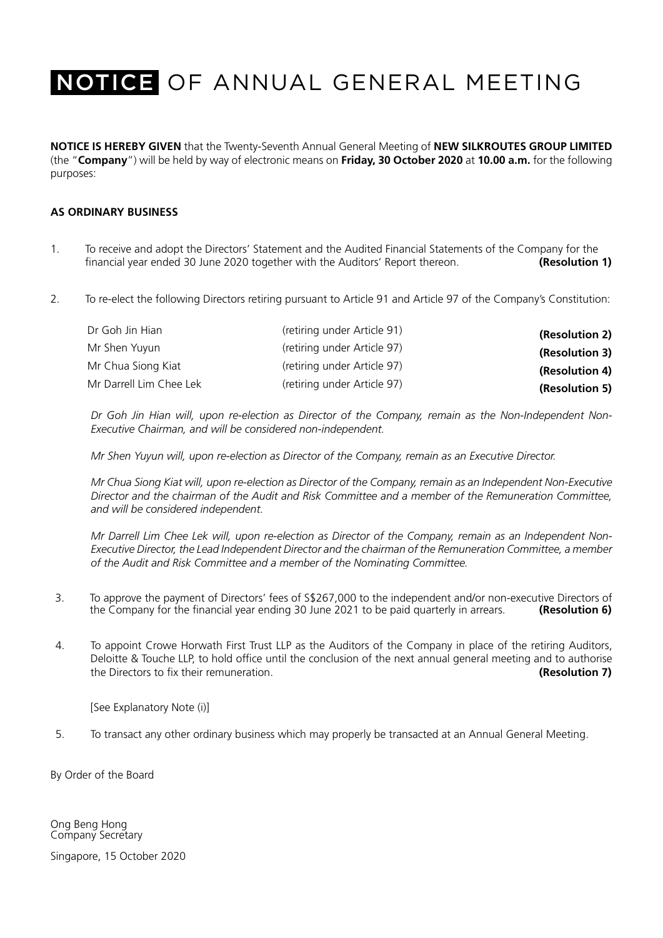**NOTICE IS HEREBY GIVEN** that the Twenty-Seventh Annual General Meeting of **NEW SILKROUTES GROUP LIMITED** (the "**Company**") will be held by way of electronic means on **Friday, 30 October 2020** at **10.00 a.m.** for the following purposes:

# **AS ORDINARY BUSINESS**

- 1. To receive and adopt the Directors' Statement and the Audited Financial Statements of the Company for the financial year ended 30 June 2020 together with the Auditors' Report thereon. **(Resolution 1)**
- 2. To re-elect the following Directors retiring pursuant to Article 91 and Article 97 of the Company's Constitution:

| Dr Goh Jin Hian         | (retiring under Article 91) | (Resolution 2) |
|-------------------------|-----------------------------|----------------|
| Mr Shen Yuyun           | (retiring under Article 97) | (Resolution 3) |
| Mr Chua Siong Kiat      | (retiring under Article 97) | (Resolution 4) |
| Mr Darrell Lim Chee Lek | (retiring under Article 97) | (Resolution 5) |

*Dr Goh Jin Hian will, upon re-election as Director of the Company, remain as the Non-Independent Non-Executive Chairman, and will be considered non-independent.* 

*Mr Shen Yuyun will, upon re-election as Director of the Company, remain as an Executive Director.* 

*Mr Chua Siong Kiat will, upon re-election as Director of the Company, remain as an Independent Non-Executive Director and the chairman of the Audit and Risk Committee and a member of the Remuneration Committee, and will be considered independent.* 

*Mr Darrell Lim Chee Lek will, upon re-election as Director of the Company, remain as an Independent Non-Executive Director, the Lead Independent Director and the chairman of the Remuneration Committee, a member of the Audit and Risk Committee and a member of the Nominating Committee.* 

- 3. To approve the payment of Directors' fees of S\$267,000 to the independent and/or non-executive Directors of<br>the Company for the financial year ending 30 June 2021 to be paid quarterly in arrears. (Resolution 6) the Company for the financial year ending 30 June 2021 to be paid quarterly in arrears.
- 4. To appoint Crowe Horwath First Trust LLP as the Auditors of the Company in place of the retiring Auditors, Deloitte & Touche LLP, to hold office until the conclusion of the next annual general meeting and to authorise the Directors to fix their remuneration. **(Resolution 7)**

[See Explanatory Note (i)]

5. To transact any other ordinary business which may properly be transacted at an Annual General Meeting.

By Order of the Board

Ong Beng Hong Company Secretary

Singapore, 15 October 2020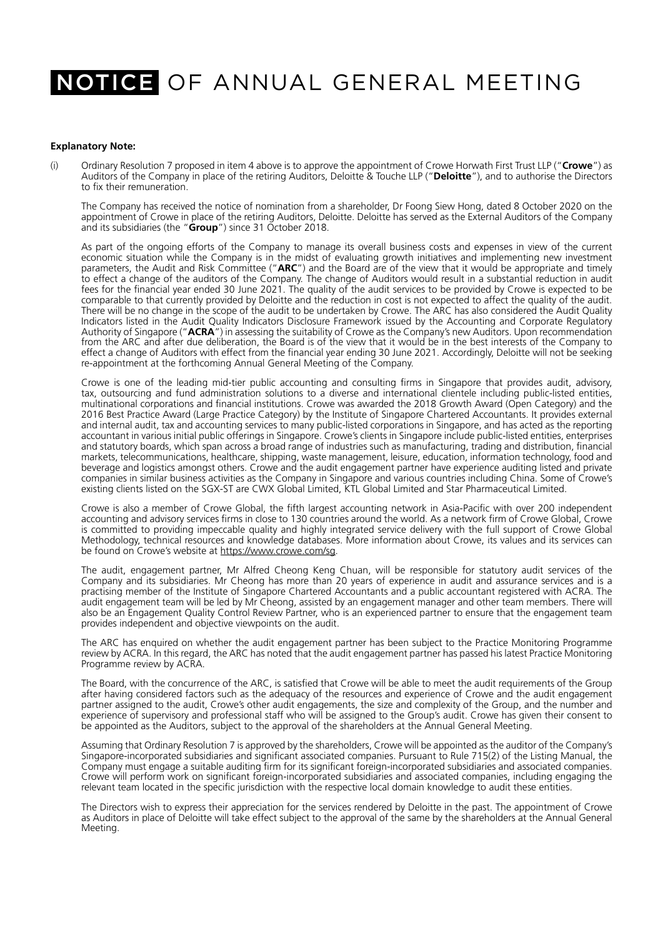### **Explanatory Note:**

(i) Ordinary Resolution 7 proposed in item 4 above is to approve the appointment of Crowe Horwath First Trust LLP ("**Crowe**") as Auditors of the Company in place of the retiring Auditors, Deloitte & Touche LLP ("**Deloitte**"), and to authorise the Directors to fix their remuneration.

The Company has received the notice of nomination from a shareholder, Dr Foong Siew Hong, dated 8 October 2020 on the appointment of Crowe in place of the retiring Auditors, Deloitte. Deloitte has served as the External Auditors of the Company and its subsidiaries (the "**Group**") since 31 October 2018.

As part of the ongoing efforts of the Company to manage its overall business costs and expenses in view of the current economic situation while the Company is in the midst of evaluating growth initiatives and implementing new investment parameters, the Audit and Risk Committee ("**ARC**") and the Board are of the view that it would be appropriate and timely to effect a change of the auditors of the Company. The change of Auditors would result in a substantial reduction in audit fees for the financial year ended 30 June 2021. The quality of the audit services to be provided by Crowe is expected to be comparable to that currently provided by Deloitte and the reduction in cost is not expected to affect the quality of the audit. There will be no change in the scope of the audit to be undertaken by Crowe. The ARC has also considered the Audit Quality Indicators listed in the Audit Quality Indicators Disclosure Framework issued by the Accounting and Corporate Regulatory Authority of Singapore ("**ACRA**") in assessing the suitability of Crowe as the Company's new Auditors. Upon recommendation from the ARC and after due deliberation, the Board is of the view that it would be in the best interests of the Company to effect a change of Auditors with effect from the financial year ending 30 June 2021. Accordingly, Deloitte will not be seeking re-appointment at the forthcoming Annual General Meeting of the Company.

Crowe is one of the leading mid-tier public accounting and consulting firms in Singapore that provides audit, advisory, tax, outsourcing and fund administration solutions to a diverse and international clientele including public-listed entities, multinational corporations and financial institutions. Crowe was awarded the 2018 Growth Award (Open Category) and the 2016 Best Practice Award (Large Practice Category) by the Institute of Singapore Chartered Accountants. It provides external and internal audit, tax and accounting services to many public-listed corporations in Singapore, and has acted as the reporting accountant in various initial public offerings in Singapore. Crowe's clients in Singapore include public-listed entities, enterprises and statutory boards, which span across a broad range of industries such as manufacturing, trading and distribution, financial markets, telecommunications, healthcare, shipping, waste management, leisure, education, information technology, food and beverage and logistics amongst others. Crowe and the audit engagement partner have experience auditing listed and private companies in similar business activities as the Company in Singapore and various countries including China. Some of Crowe's existing clients listed on the SGX-ST are CWX Global Limited, KTL Global Limited and Star Pharmaceutical Limited.

Crowe is also a member of Crowe Global, the fifth largest accounting network in Asia-Pacific with over 200 independent accounting and advisory services firms in close to 130 countries around the world. As a network firm of Crowe Global, Crowe is committed to providing impeccable quality and highly integrated service delivery with the full support of Crowe Global Methodology, technical resources and knowledge databases. More information about Crowe, its values and its services can be found on Crowe's website at https://www.crowe.com/sg.

The audit, engagement partner, Mr Alfred Cheong Keng Chuan, will be responsible for statutory audit services of the Company and its subsidiaries. Mr Cheong has more than 20 years of experience in audit and assurance services and is a practising member of the Institute of Singapore Chartered Accountants and a public accountant registered with ACRA. The audit engagement team will be led by Mr Cheong, assisted by an engagement manager and other team members. There will also be an Engagement Quality Control Review Partner, who is an experienced partner to ensure that the engagement team provides independent and objective viewpoints on the audit.

The ARC has enquired on whether the audit engagement partner has been subject to the Practice Monitoring Programme review by ACRA. In this regard, the ARC has noted that the audit engagement partner has passed his latest Practice Monitoring Programme review by ACRA.

The Board, with the concurrence of the ARC, is satisfied that Crowe will be able to meet the audit requirements of the Group after having considered factors such as the adequacy of the resources and experience of Crowe and the audit engagement partner assigned to the audit, Crowe's other audit engagements, the size and complexity of the Group, and the number and experience of supervisory and professional staff who will be assigned to the Group's audit. Crowe has given their consent to be appointed as the Auditors, subject to the approval of the shareholders at the Annual General Meeting.

Assuming that Ordinary Resolution 7 is approved by the shareholders, Crowe will be appointed as the auditor of the Company's Singapore-incorporated subsidiaries and significant associated companies. Pursuant to Rule 715(2) of the Listing Manual, the Company must engage a suitable auditing firm for its significant foreign-incorporated subsidiaries and associated companies. Crowe will perform work on significant foreign-incorporated subsidiaries and associated companies, including engaging the relevant team located in the specific jurisdiction with the respective local domain knowledge to audit these entities.

The Directors wish to express their appreciation for the services rendered by Deloitte in the past. The appointment of Crowe as Auditors in place of Deloitte will take effect subject to the approval of the same by the shareholders at the Annual General Meeting.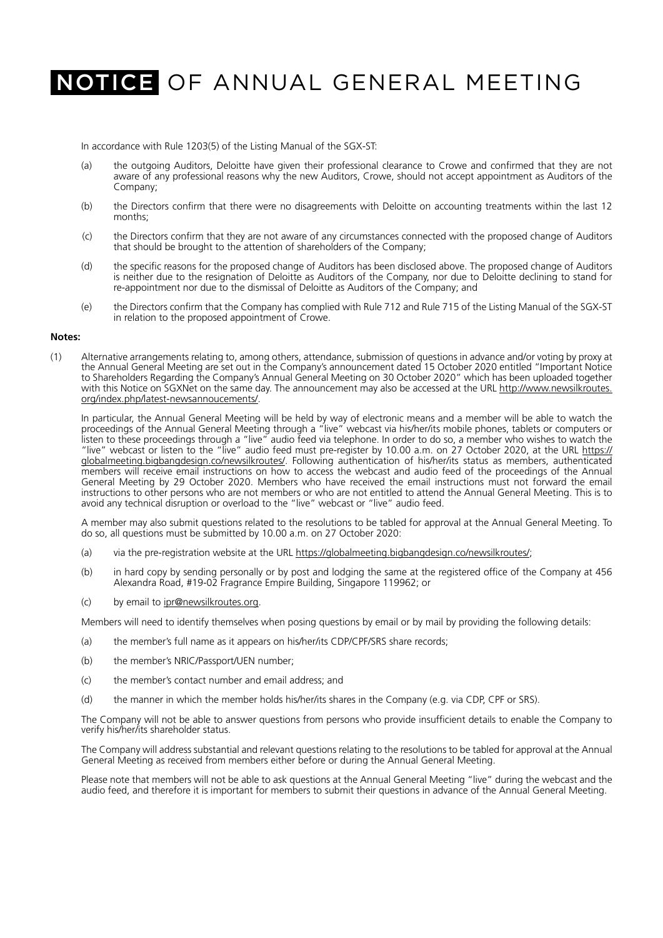In accordance with Rule 1203(5) of the Listing Manual of the SGX-ST:

- (a) the outgoing Auditors, Deloitte have given their professional clearance to Crowe and confirmed that they are not aware of any professional reasons why the new Auditors, Crowe, should not accept appointment as Auditors of the Company;
- (b) the Directors confirm that there were no disagreements with Deloitte on accounting treatments within the last 12 months;
- (c) the Directors confirm that they are not aware of any circumstances connected with the proposed change of Auditors that should be brought to the attention of shareholders of the Company;
- (d) the specific reasons for the proposed change of Auditors has been disclosed above. The proposed change of Auditors is neither due to the resignation of Deloitte as Auditors of the Company, nor due to Deloitte declining to stand for re-appointment nor due to the dismissal of Deloitte as Auditors of the Company; and
- (e) the Directors confirm that the Company has complied with Rule 712 and Rule 715 of the Listing Manual of the SGX-ST in relation to the proposed appointment of Crowe.

### **Notes:**

(1) Alternative arrangements relating to, among others, attendance, submission of questions in advance and/or voting by proxy at the Annual General Meeting are set out in the Company's announcement dated 15 October 2020 entitled "Important Notice to Shareholders Regarding the Company's Annual General Meeting on 30 October 2020" which has been uploaded together with this Notice on SGXNet on the same day. The announcement may also be accessed at the URL http://www.newsilkroutes. org/index.php/latest-newsannoucements/.

In particular, the Annual General Meeting will be held by way of electronic means and a member will be able to watch the proceedings of the Annual General Meeting through a "live" webcast via his/her/its mobile phones, tablets or computers or listen to these proceedings through a "live" audio feed via telephone. In order to do so, a member who wishes to watch the "live" webcast or listen to the "live" audio feed must pre-register by 10.00 a.m. on 27 October 2020, at the URL https:// globalmeeting.bigbangdesign.co/newsilkroutes/. Following authentication of his/her/its status as members, authenticated members will receive email instructions on how to access the webcast and audio feed of the proceedings of the Annual General Meeting by 29 October 2020. Members who have received the email instructions must not forward the email instructions to other persons who are not members or who are not entitled to attend the Annual General Meeting. This is to avoid any technical disruption or overload to the "live" webcast or "live" audio feed.

A member may also submit questions related to the resolutions to be tabled for approval at the Annual General Meeting. To do so, all questions must be submitted by 10.00 a.m. on 27 October 2020:

- (a) via the pre-registration website at the URL https://globalmeeting.bigbangdesign.co/newsilkroutes/;
- (b) in hard copy by sending personally or by post and lodging the same at the registered office of the Company at 456 Alexandra Road, #19-02 Fragrance Empire Building, Singapore 119962; or
- (c) by email to ipr@newsilkroutes.org.

Members will need to identify themselves when posing questions by email or by mail by providing the following details:

- (a) the member's full name as it appears on his/her/its CDP/CPF/SRS share records;
- (b) the member's NRIC/Passport/UEN number;
- (c) the member's contact number and email address; and
- (d) the manner in which the member holds his/her/its shares in the Company (e.g. via CDP, CPF or SRS).

The Company will not be able to answer questions from persons who provide insufficient details to enable the Company to verify his/her/its shareholder status.

The Company will address substantial and relevant questions relating to the resolutions to be tabled for approval at the Annual General Meeting as received from members either before or during the Annual General Meeting.

Please note that members will not be able to ask questions at the Annual General Meeting "live" during the webcast and the audio feed, and therefore it is important for members to submit their questions in advance of the Annual General Meeting.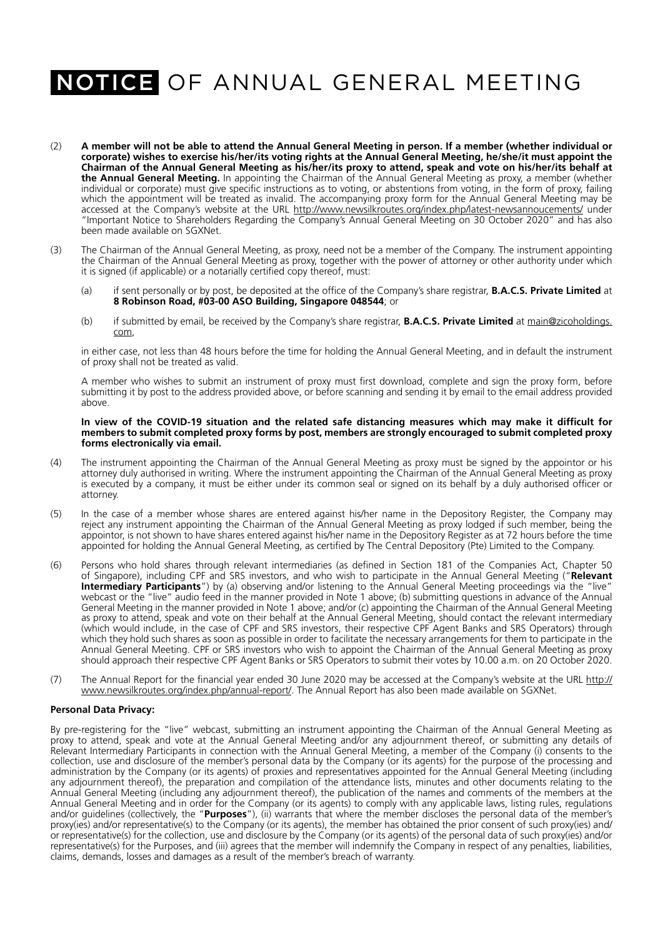- (2) **A member will not be able to attend the Annual General Meeting in person. If a member (whether individual or corporate) wishes to exercise his/her/its voting rights at the Annual General Meeting, he/she/it must appoint the Chairman of the Annual General Meeting as his/her/its proxy to attend, speak and vote on his/her/its behalf at the Annual General Meeting.** In appointing the Chairman of the Annual General Meeting as proxy, a member (whether individual or corporate) must give specific instructions as to voting, or abstentions from voting, in the form of proxy, failing which the appointment will be treated as invalid. The accompanying proxy form for the Annual General Meeting may be accessed at the Company's website at the URL http://www.newsilkroutes.org/index.php/latest-newsannoucements/ under "Important Notice to Shareholders Regarding the Company's Annual General Meeting on 30 October 2020" and has also been made available on SGXNet.
- (3) The Chairman of the Annual General Meeting, as proxy, need not be a member of the Company. The instrument appointing the Chairman of the Annual General Meeting as proxy, together with the power of attorney or other authority under which it is signed (if applicable) or a notarially certified copy thereof, must:
	- (a) if sent personally or by post, be deposited at the office of the Company's share registrar, **B.A.C.S. Private Limited** at **8 Robinson Road, #03-00 ASO Building, Singapore 048544**; or
	- (b) if submitted by email, be received by the Company's share registrar, **B.A.C.S. Private Limited** at main@zicoholdings. com,

in either case, not less than 48 hours before the time for holding the Annual General Meeting, and in default the instrument of proxy shall not be treated as valid.

A member who wishes to submit an instrument of proxy must first download, complete and sign the proxy form, before submitting it by post to the address provided above, or before scanning and sending it by email to the email address provided above.

#### **In view of the COVID-19 situation and the related safe distancing measures which may make it difficult for members to submit completed proxy forms by post, members are strongly encouraged to submit completed proxy forms electronically via email.**

- (4) The instrument appointing the Chairman of the Annual General Meeting as proxy must be signed by the appointor or his attorney duly authorised in writing. Where the instrument appointing the Chairman of the Annual General Meeting as proxy is executed by a company, it must be either under its common seal or signed on its behalf by a duly authorised officer or attorney.
- (5) In the case of a member whose shares are entered against his/her name in the Depository Register, the Company may reject any instrument appointing the Chairman of the Annual General Meeting as proxy lodged if such member, being the appointor, is not shown to have shares entered against his/her name in the Depository Register as at 72 hours before the time appointed for holding the Annual General Meeting, as certified by The Central Depository (Pte) Limited to the Company.
- (6) Persons who hold shares through relevant intermediaries (as defined in Section 181 of the Companies Act, Chapter 50 of Singapore), including CPF and SRS investors, and who wish to participate in the Annual General Meeting ("**Relevant Intermediary Participants**") by (a) observing and/or listening to the Annual General Meeting proceedings via the "live" webcast or the "live" audio feed in the manner provided in Note 1 above; (b) submitting questions in advance of the Annual General Meeting in the manner provided in Note 1 above; and/or (c) appointing the Chairman of the Annual General Meeting as proxy to attend, speak and vote on their behalf at the Annual General Meeting, should contact the relevant intermediary (which would include, in the case of CPF and SRS investors, their respective CPF Agent Banks and SRS Operators) through which they hold such shares as soon as possible in order to facilitate the necessary arrangements for them to participate in the Annual General Meeting. CPF or SRS investors who wish to appoint the Chairman of the Annual General Meeting as proxy should approach their respective CPF Agent Banks or SRS Operators to submit their votes by 10.00 a.m. on 20 October 2020.
- (7) The Annual Report for the financial year ended 30 June 2020 may be accessed at the Company's website at the URL http:// www.newsilkroutes.org/index.php/annual-report/. The Annual Report has also been made available on SGXNet.

### **Personal Data Privacy:**

By pre-registering for the "live" webcast, submitting an instrument appointing the Chairman of the Annual General Meeting as proxy to attend, speak and vote at the Annual General Meeting and/or any adjournment thereof, or submitting any details of Relevant Intermediary Participants in connection with the Annual General Meeting, a member of the Company (i) consents to the collection, use and disclosure of the member's personal data by the Company (or its agents) for the purpose of the processing and administration by the Company (or its agents) of proxies and representatives appointed for the Annual General Meeting (including any adjournment thereof), the preparation and compilation of the attendance lists, minutes and other documents relating to the Annual General Meeting (including any adjournment thereof), the publication of the names and comments of the members at the Annual General Meeting and in order for the Company (or its agents) to comply with any applicable laws, listing rules, regulations and/or guidelines (collectively, the "**Purposes**"), (ii) warrants that where the member discloses the personal data of the member's proxy(ies) and/or representative(s) to the Company (or its agents), the member has obtained the prior consent of such proxy(ies) and/ or representative(s) for the collection, use and disclosure by the Company (or its agents) of the personal data of such proxy(ies) and/or representative(s) for the Purposes, and (iii) agrees that the member will indemnify the Company in respect of any penalties, liabilities, claims, demands, losses and damages as a result of the member's breach of warranty.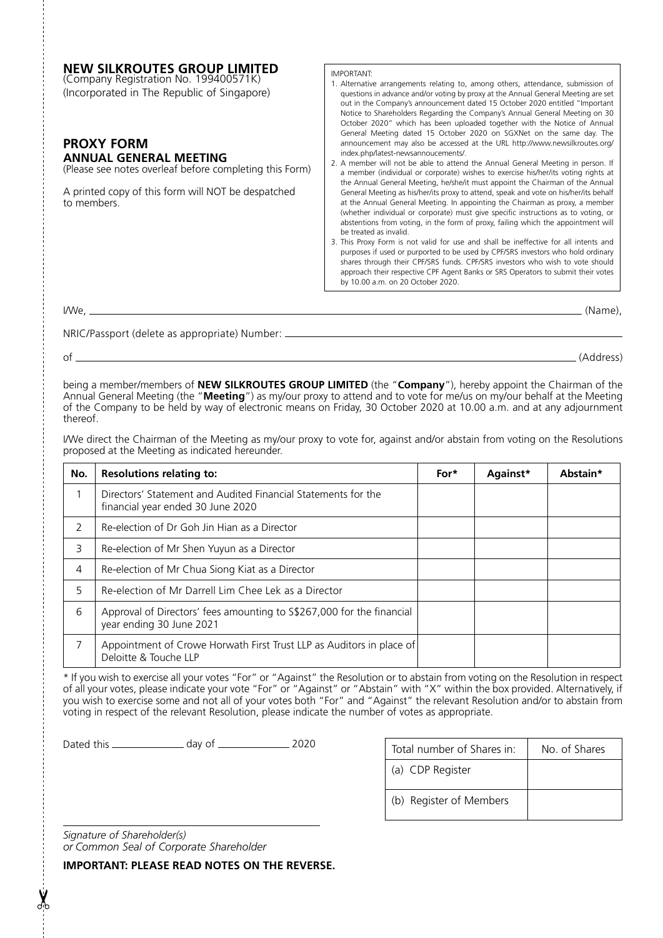| <b>NEW SILKROUTES GROUP LIMITED</b><br>(Company Registration No. 199400571K)<br>(Incorporated in The Republic of Singapore)<br><b>PROXY FORM</b><br><b>ANNUAL GENERAL MEETING</b><br>(Please see notes overleaf before completing this Form)<br>A printed copy of this form will NOT be despatched<br>to members. | <b>IMPORTANT:</b><br>1. Alternative arrangements relating to, among others, attendance, submission of<br>questions in advance and/or voting by proxy at the Annual General Meeting are set<br>out in the Company's announcement dated 15 October 2020 entitled "Important<br>Notice to Shareholders Regarding the Company's Annual General Meeting on 30<br>October 2020" which has been uploaded together with the Notice of Annual<br>General Meeting dated 15 October 2020 on SGXNet on the same day. The<br>announcement may also be accessed at the URL http://www.newsilkroutes.org/<br>index.php/latest-newsannoucements/.<br>2. A member will not be able to attend the Annual General Meeting in person. If<br>a member (individual or corporate) wishes to exercise his/her/its voting rights at<br>the Annual General Meeting, he/she/it must appoint the Chairman of the Annual<br>General Meeting as his/her/its proxy to attend, speak and vote on his/her/its behalf<br>at the Annual General Meeting. In appointing the Chairman as proxy, a member<br>(whether individual or corporate) must give specific instructions as to voting, or<br>abstentions from voting, in the form of proxy, failing which the appointment will<br>be treated as invalid.<br>3. This Proxy Form is not valid for use and shall be ineffective for all intents and<br>purposes if used or purported to be used by CPF/SRS investors who hold ordinary |  |  |  |
|-------------------------------------------------------------------------------------------------------------------------------------------------------------------------------------------------------------------------------------------------------------------------------------------------------------------|-----------------------------------------------------------------------------------------------------------------------------------------------------------------------------------------------------------------------------------------------------------------------------------------------------------------------------------------------------------------------------------------------------------------------------------------------------------------------------------------------------------------------------------------------------------------------------------------------------------------------------------------------------------------------------------------------------------------------------------------------------------------------------------------------------------------------------------------------------------------------------------------------------------------------------------------------------------------------------------------------------------------------------------------------------------------------------------------------------------------------------------------------------------------------------------------------------------------------------------------------------------------------------------------------------------------------------------------------------------------------------------------------------------------------------------------------------|--|--|--|
|                                                                                                                                                                                                                                                                                                                   | shares through their CPF/SRS funds. CPF/SRS investors who wish to vote should<br>approach their respective CPF Agent Banks or SRS Operators to submit their votes<br>by 10.00 a.m. on 20 October 2020.                                                                                                                                                                                                                                                                                                                                                                                                                                                                                                                                                                                                                                                                                                                                                                                                                                                                                                                                                                                                                                                                                                                                                                                                                                              |  |  |  |
| I/We.                                                                                                                                                                                                                                                                                                             | (Name),                                                                                                                                                                                                                                                                                                                                                                                                                                                                                                                                                                                                                                                                                                                                                                                                                                                                                                                                                                                                                                                                                                                                                                                                                                                                                                                                                                                                                                             |  |  |  |

NRIC/Passport (delete as appropriate) Number:

of (Address)

being a member/members of **NEW SILKROUTES GROUP LIMITED** (the "**Company**"), hereby appoint the Chairman of the Annual General Meeting (the "**Meeting**") as my/our proxy to attend and to vote for me/us on my/our behalf at the Meeting of the Company to be held by way of electronic means on Friday, 30 October 2020 at 10.00 a.m. and at any adjournment thereof.

I/We direct the Chairman of the Meeting as my/our proxy to vote for, against and/or abstain from voting on the Resolutions proposed at the Meeting as indicated hereunder.

| No.          | <b>Resolutions relating to:</b>                                                                    | For* | Against* | Abstain* |
|--------------|----------------------------------------------------------------------------------------------------|------|----------|----------|
|              | Directors' Statement and Audited Financial Statements for the<br>financial year ended 30 June 2020 |      |          |          |
| <sup>2</sup> | Re-election of Dr Goh Jin Hian as a Director                                                       |      |          |          |
| 3            | Re-election of Mr Shen Yuyun as a Director                                                         |      |          |          |
| 4            | Re-election of Mr Chua Siong Kiat as a Director                                                    |      |          |          |
| 5            | Re-election of Mr Darrell Lim Chee Lek as a Director                                               |      |          |          |
| 6            | Approval of Directors' fees amounting to S\$267,000 for the financial<br>year ending 30 June 2021  |      |          |          |
| 7            | Appointment of Crowe Horwath First Trust LLP as Auditors in place of<br>Deloitte & Touche LLP      |      |          |          |

\* If you wish to exercise all your votes "For" or "Against" the Resolution or to abstain from voting on the Resolution in respect of all your votes, please indicate your vote "For" or "Against" or "Abstain" with "X" within the box provided. Alternatively, if you wish to exercise some and not all of your votes both "For" and "Against" the relevant Resolution and/or to abstain from voting in respect of the relevant Resolution, please indicate the number of votes as appropriate.

Dated this day of 2020

|                         | Total number of Shares in: | No. of Shares |  |  |
|-------------------------|----------------------------|---------------|--|--|
|                         | (a) CDP Register           |               |  |  |
| (b) Register of Members |                            |               |  |  |

*Signature of Shareholder(s) or Common Seal of Corporate Shareholder*

**IMPORTANT: PLEASE READ NOTES ON THE REVERSE.**